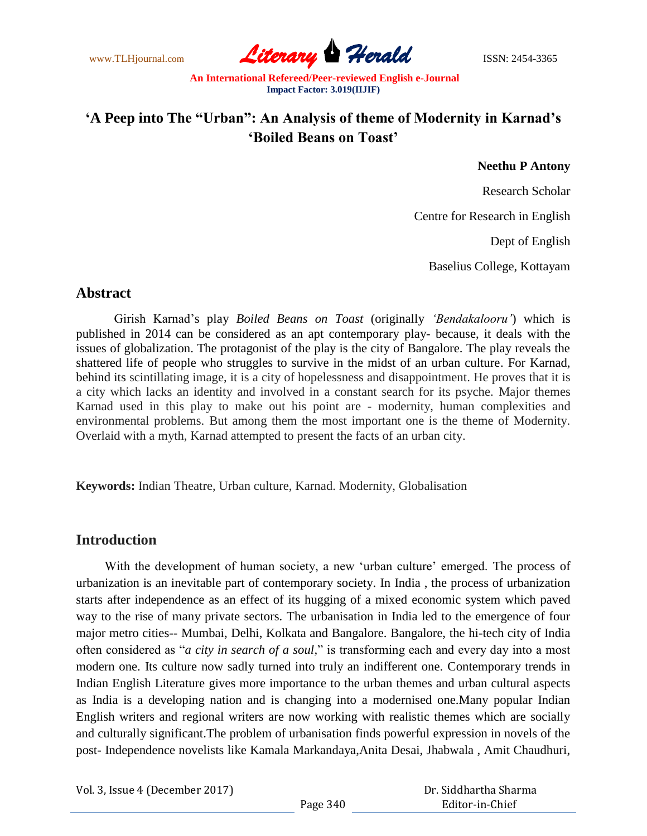www.TLHjournal.com **Literary Herald Herald ISSN: 2454-3365** 

# **"A Peep into The "Urban": An Analysis of theme of Modernity in Karnad"s "Boiled Beans on Toast"**

#### **Neethu P Antony**

Research Scholar

Centre for Research in English

Dept of English

Baselius College, Kottayam

#### **Abstract**

Girish Karnad"s play *Boiled Beans on Toast* (originally *"Bendakalooru"*) which is published in 2014 can be considered as an apt contemporary play- because, it deals with the issues of globalization. The protagonist of the play is the city of Bangalore. The play reveals the shattered life of people who struggles to survive in the midst of an urban culture. For Karnad, behind its scintillating image, it is a city of hopelessness and disappointment. He proves that it is a city which lacks an identity and involved in a constant search for its psyche. Major themes Karnad used in this play to make out his point are - modernity, human complexities and environmental problems. But among them the most important one is the theme of Modernity. Overlaid with a myth, Karnad attempted to present the facts of an urban city.

**Keywords:** Indian Theatre, Urban culture, Karnad. Modernity, Globalisation

#### **Introduction**

With the development of human society, a new 'urban culture' emerged. The process of urbanization is an inevitable part of contemporary society. In India , the process of urbanization starts after independence as an effect of its hugging of a mixed economic system which paved way to the rise of many private sectors. The urbanisation in India led to the emergence of four major metro cities-- Mumbai, Delhi, Kolkata and Bangalore. Bangalore, the hi-tech city of India often considered as "*a city in search of a soul,*" is transforming each and every day into a most modern one. Its culture now sadly turned into truly an indifferent one. Contemporary trends in Indian English Literature gives more importance to the urban themes and urban cultural aspects as India is a developing nation and is changing into a modernised one.Many popular Indian English writers and regional writers are now working with realistic themes which are socially and culturally significant.The problem of urbanisation finds powerful expression in novels of the post- Independence novelists like Kamala Markandaya,Anita Desai, Jhabwala , Amit Chaudhuri,

| Vol. 3, Issue 4 (December 2017) |          | Dr. Siddhartha Sharma |
|---------------------------------|----------|-----------------------|
|                                 | Page 340 | Editor-in-Chief       |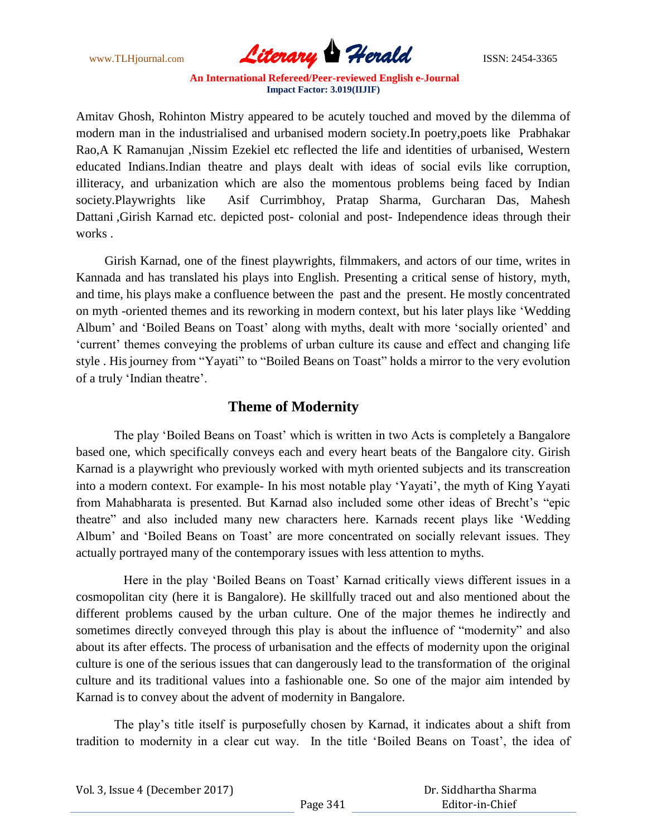

Amitav Ghosh, Rohinton Mistry appeared to be acutely touched and moved by the dilemma of modern man in the industrialised and urbanised modern society.In poetry,poets like Prabhakar Rao,A K Ramanujan ,Nissim Ezekiel etc reflected the life and identities of urbanised, Western educated Indians.Indian theatre and plays dealt with ideas of social evils like corruption, illiteracy, and urbanization which are also the momentous problems being faced by Indian society.Playwrights like Asif Currimbhoy, Pratap Sharma, Gurcharan Das, Mahesh Dattani ,Girish Karnad etc. depicted post- colonial and post- Independence ideas through their works .

 Girish Karnad, one of the finest playwrights, filmmakers, and actors of our time, writes in Kannada and has translated his plays into English. Presenting a critical sense of history, myth, and time, his plays make a confluence between the past and the present. He mostly concentrated on myth -oriented themes and its reworking in modern context, but his later plays like "Wedding Album" and "Boiled Beans on Toast" along with myths, dealt with more "socially oriented" and "current" themes conveying the problems of urban culture its cause and effect and changing life style . Hisjourney from "Yayati" to "Boiled Beans on Toast" holds a mirror to the very evolution of a truly "Indian theatre".

### **Theme of Modernity**

The play 'Boiled Beans on Toast' which is written in two Acts is completely a Bangalore based one, which specifically conveys each and every heart beats of the Bangalore city. Girish Karnad is a playwright who previously worked with myth oriented subjects and its transcreation into a modern context. For example- In his most notable play 'Yayati', the myth of King Yayati from Mahabharata is presented. But Karnad also included some other ideas of Brecht"s "epic theatre" and also included many new characters here. Karnads recent plays like "Wedding Album" and "Boiled Beans on Toast" are more concentrated on socially relevant issues. They actually portrayed many of the contemporary issues with less attention to myths.

Here in the play 'Boiled Beans on Toast' Karnad critically views different issues in a cosmopolitan city (here it is Bangalore). He skillfully traced out and also mentioned about the different problems caused by the urban culture. One of the major themes he indirectly and sometimes directly conveyed through this play is about the influence of "modernity" and also about its after effects. The process of urbanisation and the effects of modernity upon the original culture is one of the serious issues that can dangerously lead to the transformation of the original culture and its traditional values into a fashionable one. So one of the major aim intended by Karnad is to convey about the advent of modernity in Bangalore.

The play's title itself is purposefully chosen by Karnad, it indicates about a shift from tradition to modernity in a clear cut way. In the title "Boiled Beans on Toast", the idea of

| Vol. 3, Issue 4 (December 2017) |          | Dr. Siddhartha Sharma |  |
|---------------------------------|----------|-----------------------|--|
|                                 | Page 341 | Editor-in-Chief       |  |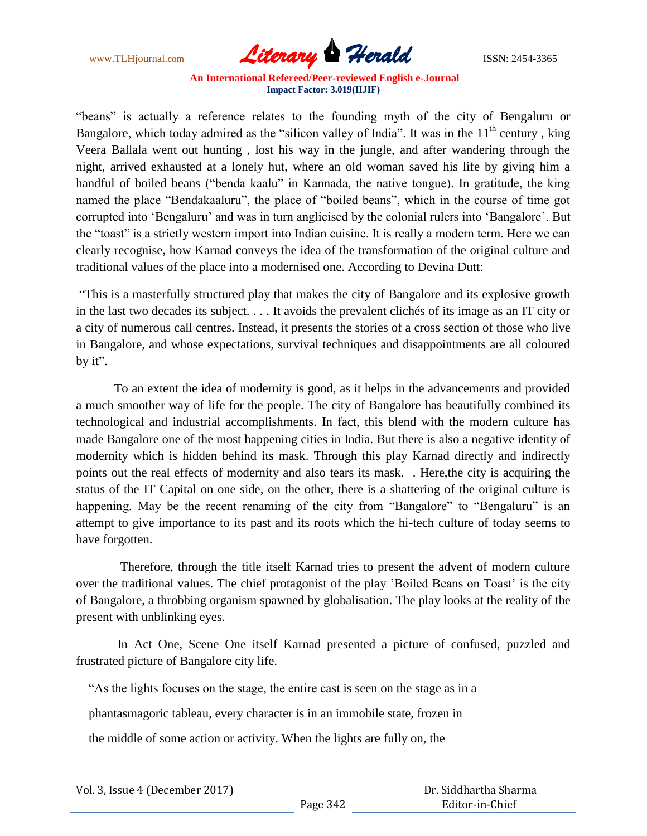www.TLHjournal.com **Literary Herald Herald** ISSN: 2454-3365

"beans" is actually a reference relates to the founding myth of the city of Bengaluru or Bangalore, which today admired as the "silicon valley of India". It was in the 11<sup>th</sup> century, king Veera Ballala went out hunting , lost his way in the jungle, and after wandering through the night, arrived exhausted at a lonely hut, where an old woman saved his life by giving him a handful of boiled beans ("benda kaalu" in Kannada, the native tongue). In gratitude, the king named the place "Bendakaaluru", the place of "boiled beans", which in the course of time got corrupted into "Bengaluru" and was in turn anglicised by the colonial rulers into "Bangalore". But the "toast" is a strictly western import into Indian cuisine. It is really a modern term. Here we can clearly recognise, how Karnad conveys the idea of the transformation of the original culture and traditional values of the place into a modernised one. According to Devina Dutt:

"This is a masterfully structured play that makes the city of Bangalore and its explosive growth in the last two decades its subject. . . . It avoids the prevalent clichés of its image as an IT city or a city of numerous call centres. Instead, it presents the stories of a cross section of those who live in Bangalore, and whose expectations, survival techniques and disappointments are all coloured by it".

 To an extent the idea of modernity is good, as it helps in the advancements and provided a much smoother way of life for the people. The city of Bangalore has beautifully combined its technological and industrial accomplishments. In fact, this blend with the modern culture has made Bangalore one of the most happening cities in India. But there is also a negative identity of modernity which is hidden behind its mask. Through this play Karnad directly and indirectly points out the real effects of modernity and also tears its mask. . Here,the city is acquiring the status of the IT Capital on one side, on the other, there is a shattering of the original culture is happening. May be the recent renaming of the city from "Bangalore" to "Bengaluru" is an attempt to give importance to its past and its roots which the hi-tech culture of today seems to have forgotten.

 Therefore, through the title itself Karnad tries to present the advent of modern culture over the traditional values. The chief protagonist of the play 'Boiled Beans on Toast' is the city of Bangalore, a throbbing organism spawned by globalisation. The play looks at the reality of the present with unblinking eyes.

 In Act One, Scene One itself Karnad presented a picture of confused, puzzled and frustrated picture of Bangalore city life.

"As the lights focuses on the stage, the entire cast is seen on the stage as in a

phantasmagoric tableau, every character is in an immobile state, frozen in

the middle of some action or activity. When the lights are fully on, the

| Vol. 3, Issue 4 (December 2017) |          | Dr. Siddhartha Sharma |
|---------------------------------|----------|-----------------------|
|                                 | Page 342 | Editor-in-Chief       |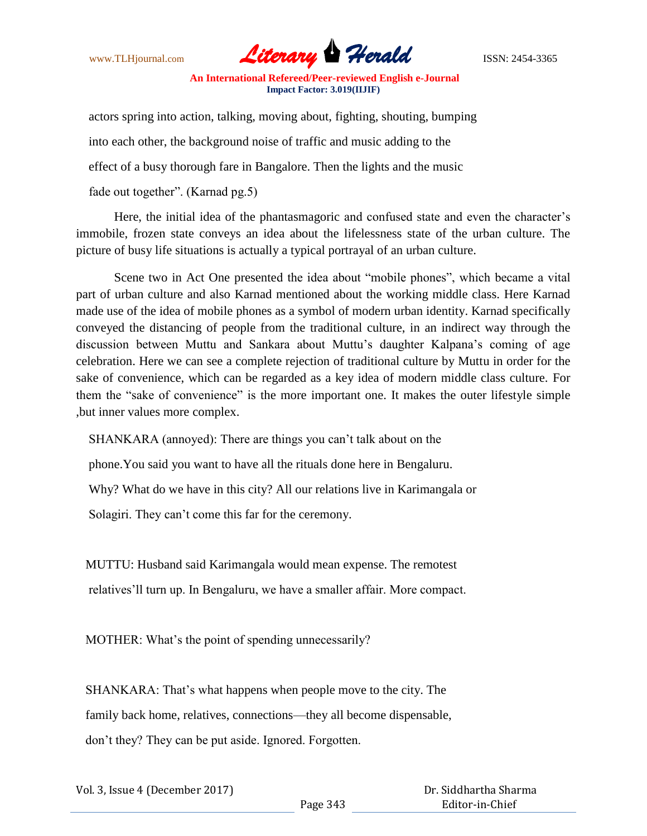

 actors spring into action, talking, moving about, fighting, shouting, bumping into each other, the background noise of traffic and music adding to the effect of a busy thorough fare in Bangalore. Then the lights and the music fade out together". (Karnad pg.5)

Here, the initial idea of the phantasmagoric and confused state and even the character"s immobile, frozen state conveys an idea about the lifelessness state of the urban culture. The picture of busy life situations is actually a typical portrayal of an urban culture.

 Scene two in Act One presented the idea about "mobile phones", which became a vital part of urban culture and also Karnad mentioned about the working middle class. Here Karnad made use of the idea of mobile phones as a symbol of modern urban identity. Karnad specifically conveyed the distancing of people from the traditional culture, in an indirect way through the discussion between Muttu and Sankara about Muttu"s daughter Kalpana"s coming of age celebration. Here we can see a complete rejection of traditional culture by Muttu in order for the sake of convenience, which can be regarded as a key idea of modern middle class culture. For them the "sake of convenience" is the more important one. It makes the outer lifestyle simple ,but inner values more complex.

SHANKARA (annoyed): There are things you can"t talk about on the

phone.You said you want to have all the rituals done here in Bengaluru.

Why? What do we have in this city? All our relations live in Karimangala or

Solagiri. They can't come this far for the ceremony.

MUTTU: Husband said Karimangala would mean expense. The remotest

relatives"ll turn up. In Bengaluru, we have a smaller affair. More compact.

MOTHER: What's the point of spending unnecessarily?

 SHANKARA: That"s what happens when people move to the city. The family back home, relatives, connections—they all become dispensable, don"t they? They can be put aside. Ignored. Forgotten.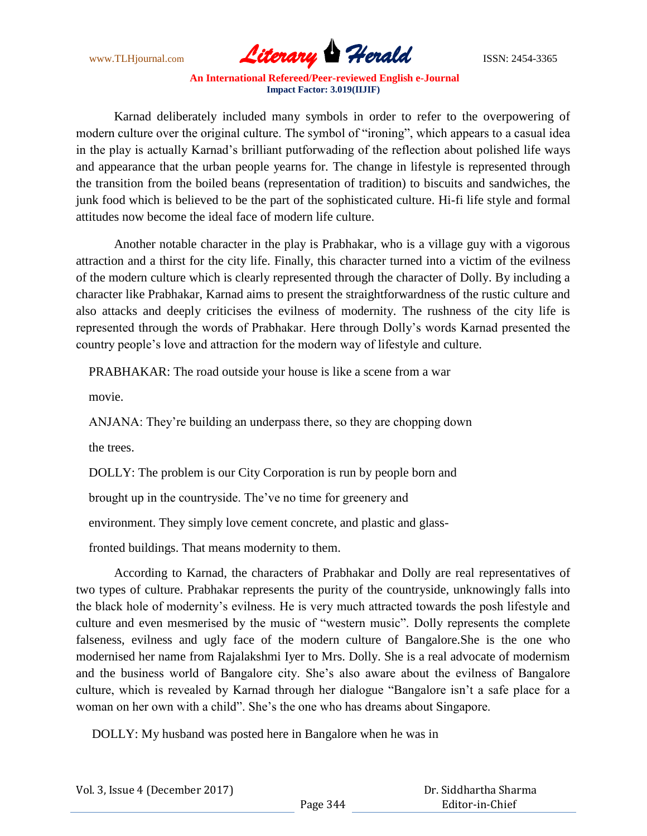

Karnad deliberately included many symbols in order to refer to the overpowering of modern culture over the original culture. The symbol of "ironing", which appears to a casual idea in the play is actually Karnad"s brilliant putforwading of the reflection about polished life ways and appearance that the urban people yearns for. The change in lifestyle is represented through the transition from the boiled beans (representation of tradition) to biscuits and sandwiches, the junk food which is believed to be the part of the sophisticated culture. Hi-fi life style and formal attitudes now become the ideal face of modern life culture.

 Another notable character in the play is Prabhakar, who is a village guy with a vigorous attraction and a thirst for the city life. Finally, this character turned into a victim of the evilness of the modern culture which is clearly represented through the character of Dolly. By including a character like Prabhakar, Karnad aims to present the straightforwardness of the rustic culture and also attacks and deeply criticises the evilness of modernity. The rushness of the city life is represented through the words of Prabhakar. Here through Dolly"s words Karnad presented the country people"s love and attraction for the modern way of lifestyle and culture.

PRABHAKAR: The road outside your house is like a scene from a war

movie.

ANJANA: They"re building an underpass there, so they are chopping down

the trees.

DOLLY: The problem is our City Corporation is run by people born and

brought up in the countryside. The"ve no time for greenery and

environment. They simply love cement concrete, and plastic and glass-

fronted buildings. That means modernity to them.

 According to Karnad, the characters of Prabhakar and Dolly are real representatives of two types of culture. Prabhakar represents the purity of the countryside, unknowingly falls into the black hole of modernity"s evilness. He is very much attracted towards the posh lifestyle and culture and even mesmerised by the music of "western music". Dolly represents the complete falseness, evilness and ugly face of the modern culture of Bangalore.She is the one who modernised her name from Rajalakshmi Iyer to Mrs. Dolly. She is a real advocate of modernism and the business world of Bangalore city. She"s also aware about the evilness of Bangalore culture, which is revealed by Karnad through her dialogue "Bangalore isn't a safe place for a woman on her own with a child". She"s the one who has dreams about Singapore.

DOLLY: My husband was posted here in Bangalore when he was in

| Vol. 3, Issue 4 (December 2017) |          | Dr. Siddhartha Sharma |
|---------------------------------|----------|-----------------------|
|                                 | Page 344 | Editor-in-Chief       |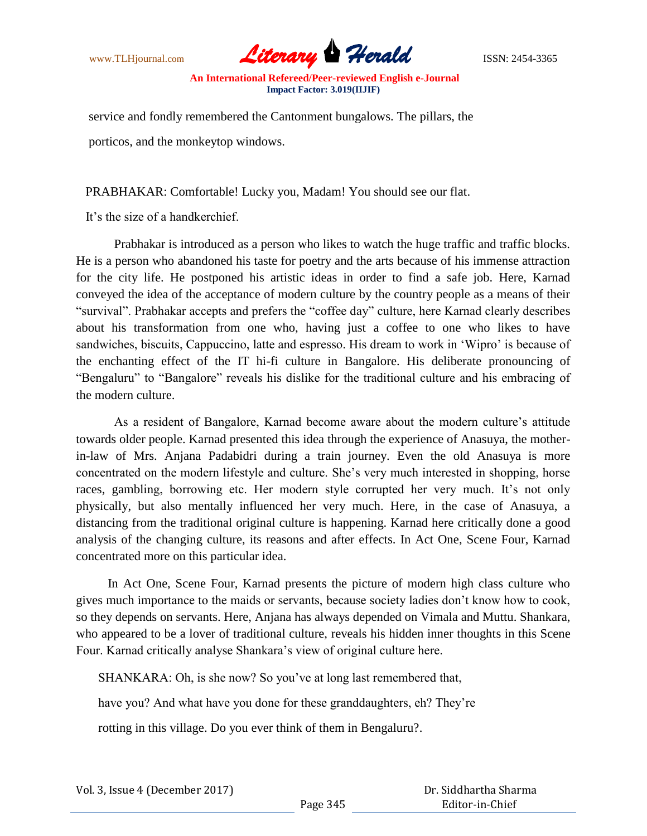

 service and fondly remembered the Cantonment bungalows. The pillars, the porticos, and the monkeytop windows.

PRABHAKAR: Comfortable! Lucky you, Madam! You should see our flat.

It"s the size of a handkerchief.

Prabhakar is introduced as a person who likes to watch the huge traffic and traffic blocks. He is a person who abandoned his taste for poetry and the arts because of his immense attraction for the city life. He postponed his artistic ideas in order to find a safe job. Here, Karnad conveyed the idea of the acceptance of modern culture by the country people as a means of their "survival". Prabhakar accepts and prefers the "coffee day" culture, here Karnad clearly describes about his transformation from one who, having just a coffee to one who likes to have sandwiches, biscuits, Cappuccino, latte and espresso. His dream to work in "Wipro" is because of the enchanting effect of the IT hi-fi culture in Bangalore. His deliberate pronouncing of "Bengaluru" to "Bangalore" reveals his dislike for the traditional culture and his embracing of the modern culture.

 As a resident of Bangalore, Karnad become aware about the modern culture"s attitude towards older people. Karnad presented this idea through the experience of Anasuya, the motherin-law of Mrs. Anjana Padabidri during a train journey. Even the old Anasuya is more concentrated on the modern lifestyle and culture. She"s very much interested in shopping, horse races, gambling, borrowing etc. Her modern style corrupted her very much. It's not only physically, but also mentally influenced her very much. Here, in the case of Anasuya, a distancing from the traditional original culture is happening. Karnad here critically done a good analysis of the changing culture, its reasons and after effects. In Act One, Scene Four, Karnad concentrated more on this particular idea.

 In Act One, Scene Four, Karnad presents the picture of modern high class culture who gives much importance to the maids or servants, because society ladies don"t know how to cook, so they depends on servants. Here, Anjana has always depended on Vimala and Muttu. Shankara, who appeared to be a lover of traditional culture, reveals his hidden inner thoughts in this Scene Four. Karnad critically analyse Shankara's view of original culture here.

SHANKARA: Oh, is she now? So you"ve at long last remembered that,

have you? And what have you done for these granddaughters, eh? They"re

rotting in this village. Do you ever think of them in Bengaluru?.

| Vol. 3, Issue 4 (December 2017) |  |
|---------------------------------|--|
|---------------------------------|--|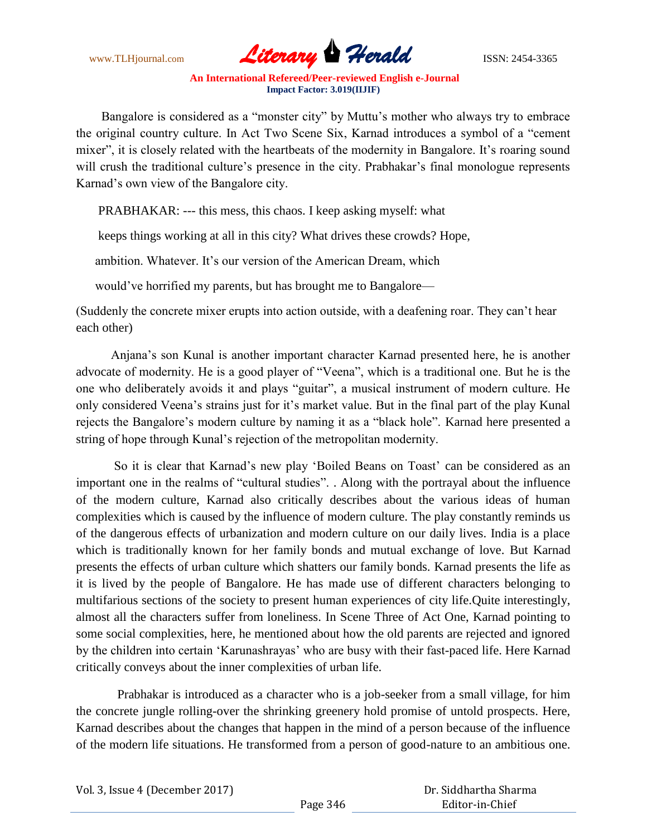

Bangalore is considered as a "monster city" by Muttu's mother who always try to embrace the original country culture. In Act Two Scene Six, Karnad introduces a symbol of a "cement mixer", it is closely related with the heartbeats of the modernity in Bangalore. It's roaring sound will crush the traditional culture's presence in the city. Prabhakar's final monologue represents Karnad"s own view of the Bangalore city.

PRABHAKAR: --- this mess, this chaos. I keep asking myself: what

keeps things working at all in this city? What drives these crowds? Hope,

ambition. Whatever. It's our version of the American Dream, which

would've horrified my parents, but has brought me to Bangalore—

(Suddenly the concrete mixer erupts into action outside, with a deafening roar. They can"t hear each other)

 Anjana"s son Kunal is another important character Karnad presented here, he is another advocate of modernity. He is a good player of "Veena", which is a traditional one. But he is the one who deliberately avoids it and plays "guitar", a musical instrument of modern culture. He only considered Veena"s strains just for it"s market value. But in the final part of the play Kunal rejects the Bangalore"s modern culture by naming it as a "black hole". Karnad here presented a string of hope through Kunal"s rejection of the metropolitan modernity.

So it is clear that Karnad's new play 'Boiled Beans on Toast' can be considered as an important one in the realms of "cultural studies". . Along with the portrayal about the influence of the modern culture, Karnad also critically describes about the various ideas of human complexities which is caused by the influence of modern culture. The play constantly reminds us of the dangerous effects of urbanization and modern culture on our daily lives. India is a place which is traditionally known for her family bonds and mutual exchange of love. But Karnad presents the effects of urban culture which shatters our family bonds. Karnad presents the life as it is lived by the people of Bangalore. He has made use of different characters belonging to multifarious sections of the society to present human experiences of city life.Quite interestingly, almost all the characters suffer from loneliness. In Scene Three of Act One, Karnad pointing to some social complexities, here, he mentioned about how the old parents are rejected and ignored by the children into certain "Karunashrayas" who are busy with their fast-paced life. Here Karnad critically conveys about the inner complexities of urban life.

 Prabhakar is introduced as a character who is a job-seeker from a small village, for him the concrete jungle rolling-over the shrinking greenery hold promise of untold prospects. Here, Karnad describes about the changes that happen in the mind of a person because of the influence of the modern life situations. He transformed from a person of good-nature to an ambitious one.

| Vol. 3, Issue 4 (December 2017) |          | Dr. Siddhartha Sharma |
|---------------------------------|----------|-----------------------|
|                                 | Page 346 | Editor-in-Chief       |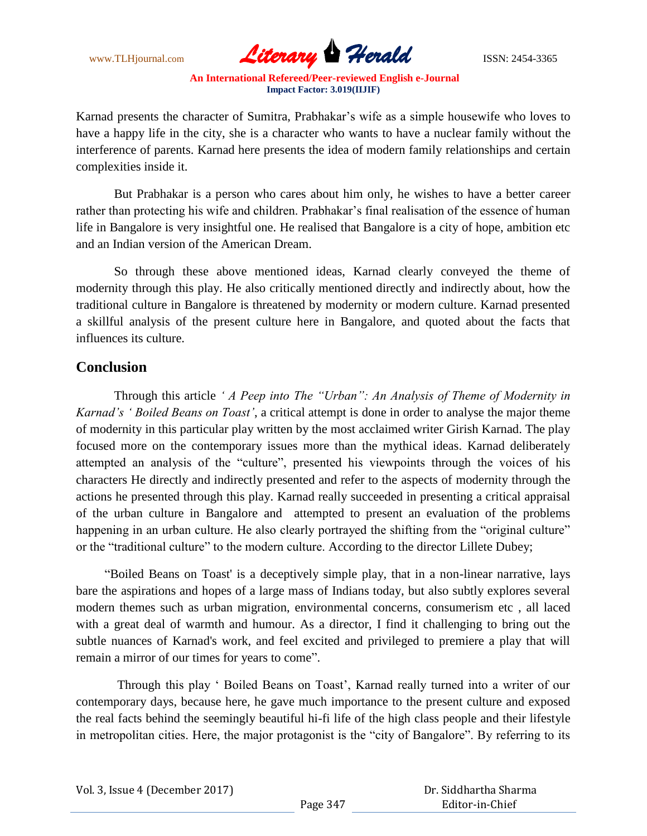![](_page_7_Picture_1.jpeg)

Karnad presents the character of Sumitra, Prabhakar"s wife as a simple housewife who loves to have a happy life in the city, she is a character who wants to have a nuclear family without the interference of parents. Karnad here presents the idea of modern family relationships and certain complexities inside it.

But Prabhakar is a person who cares about him only, he wishes to have a better career rather than protecting his wife and children. Prabhakar's final realisation of the essence of human life in Bangalore is very insightful one. He realised that Bangalore is a city of hope, ambition etc and an Indian version of the American Dream.

So through these above mentioned ideas, Karnad clearly conveyed the theme of modernity through this play. He also critically mentioned directly and indirectly about, how the traditional culture in Bangalore is threatened by modernity or modern culture. Karnad presented a skillful analysis of the present culture here in Bangalore, and quoted about the facts that influences its culture.

### **Conclusion**

Through this article *" A Peep into The "Urban": An Analysis of Theme of Modernity in Karnad"s " Boiled Beans on Toast"*, a critical attempt is done in order to analyse the major theme of modernity in this particular play written by the most acclaimed writer Girish Karnad. The play focused more on the contemporary issues more than the mythical ideas. Karnad deliberately attempted an analysis of the "culture", presented his viewpoints through the voices of his characters He directly and indirectly presented and refer to the aspects of modernity through the actions he presented through this play. Karnad really succeeded in presenting a critical appraisal of the urban culture in Bangalore and attempted to present an evaluation of the problems happening in an urban culture. He also clearly portrayed the shifting from the "original culture" or the "traditional culture" to the modern culture. According to the director Lillete Dubey;

 "Boiled Beans on Toast' is a deceptively simple play, that in a non-linear narrative, lays bare the aspirations and hopes of a large mass of Indians today, but also subtly explores several modern themes such as urban migration, environmental concerns, consumerism etc , all laced with a great deal of warmth and humour. As a director, I find it challenging to bring out the subtle nuances of Karnad's work, and feel excited and privileged to premiere a play that will remain a mirror of our times for years to come".

Through this play " Boiled Beans on Toast", Karnad really turned into a writer of our contemporary days, because here, he gave much importance to the present culture and exposed the real facts behind the seemingly beautiful hi-fi life of the high class people and their lifestyle in metropolitan cities. Here, the major protagonist is the "city of Bangalore". By referring to its

|  | Vol. 3, Issue 4 (December 2017) |
|--|---------------------------------|
|--|---------------------------------|